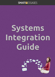## SMARTYESSAGES

# **Systems Integration Guide**

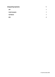| <b>Integrating Systems</b> |   |
|----------------------------|---|
| <b>API</b>                 |   |
| <b>Code Examples</b>       | 1 |
| <b>Call Backs</b>          | 1 |
| <b>RSS</b>                 | 2 |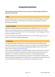### **Integrating Systems**

The assumption is that you have set up an account on Smartmessages and that you have your own web site.

#### **API**

Our API provides access to various useful back-end functions in Smartmessages, in particular getting a list of mailing lists, subscribing and unsubscribing, and getting info on recipients (including mailing history).

#### **Code Examples**

We provide a client wrapper class and sample code for our **API** in PHP which you can find on [GitHub. You will need to substitute your own login ID, password and API key in the example](https://github.com/Synchro/SmartmessagesClients)  script. There's also a .NET library on there. If you write a wrapper for other languages, we'd love to make it available to other users.

If you have any ideas or improvements you'd like to see in our API, please [create an issue](https://github.com/Synchro/SmartmessagesClients/issues) on GitHub, or create a fork and submit a pull request.

#### **Call Backs**

As a simpler alternative to using our API, you may be well-served by our callback system. Instead of writing scripts to interrogate our system, we can tell you when something happens in your account, without you having to keep asking (polling). Callbacks are also known as web hooks, and you can [read more about them here](http://wiki.webhooks.org/).

On your account settings page, you can enable callbacks, provide us with the URL of a script on your site that should receive these callbacks, and select the events that you'd like to receive callbacks for. It's an efficient mechanism because there is only traffic generated when something happens, but at very busy times you may have a lot of requests coming your way! Callbacks are ideal for posting events into CRM systems. For example when someone clicks on a link, it could put them into a follow-up contact queue for sales staff in your CRM.